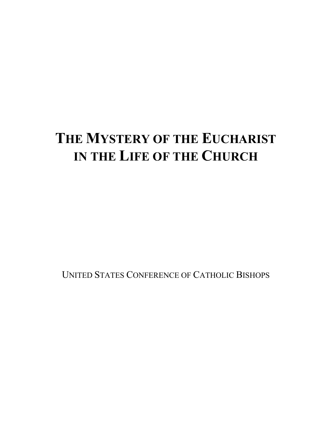# **THE MYSTERY OF THE EUCHARIST IN THE LIFE OF THE CHURCH**

UNITED STATES CONFERENCE OF CATHOLIC BISHOPS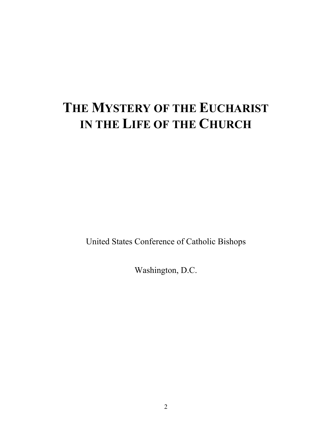# **THE MYSTERY OF THE EUCHARIST IN THE LIFE OF THE CHURCH**

United States Conference of Catholic Bishops

Washington, D.C.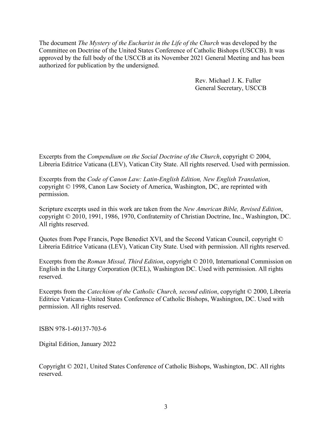The document *The Mystery of the Eucharist in the Life of the Church* was developed by the Committee on Doctrine of the United States Conference of Catholic Bishops (USCCB). It was approved by the full body of the USCCB at its November 2021 General Meeting and has been authorized for publication by the undersigned.

> Rev. Michael J. K. Fuller General Secretary, USCCB

Excerpts from the *Compendium on the Social Doctrine of the Church*, copyright © 2004, Libreria Editrice Vaticana (LEV), Vatican City State. All rights reserved. Used with permission.

Excerpts from the *Code of Canon Law: Latin-English Edition, New English Translation*, copyright © 1998, Canon Law Society of America, Washington, DC, are reprinted with permission.

Scripture excerpts used in this work are taken from the *New American Bible, Revised Edition*, copyright © 2010, 1991, 1986, 1970, Confraternity of Christian Doctrine, Inc., Washington, DC. All rights reserved.

Quotes from Pope Francis, Pope Benedict XVI, and the Second Vatican Council, copyright © Libreria Editrice Vaticana (LEV), Vatican City State. Used with permission. All rights reserved.

Excerpts from the *Roman Missal, Third Edition*, copyright © 2010, International Commission on English in the Liturgy Corporation (ICEL), Washington DC. Used with permission. All rights reserved.

Excerpts from the *Catechism of the Catholic Church, second edition*, copyright © 2000, Libreria Editrice Vaticana–United States Conference of Catholic Bishops, Washington, DC. Used with permission. All rights reserved.

ISBN 978-1-60137-703-6

Digital Edition, January 2022

Copyright © 2021, United States Conference of Catholic Bishops, Washington, DC. All rights reserved.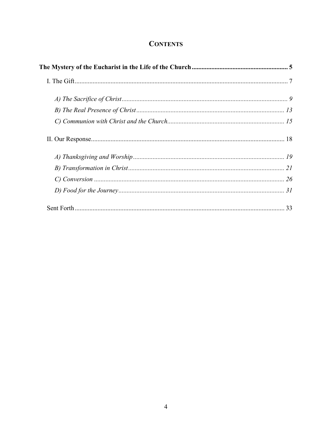# **CONTENTS**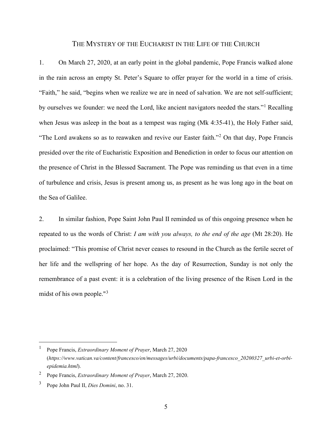# THE MYSTERY OF THE EUCHARIST IN THE LIFE OF THE CHURCH

1. On March 27, 2020, at an early point in the global pandemic, Pope Francis walked alone in the rain across an empty St. Peter's Square to offer prayer for the world in a time of crisis. "Faith," he said, "begins when we realize we are in need of salvation. We are not self-sufficient; by ourselves we founder: we need the Lord, like ancient navigators needed the stars."[1](#page-4-0) Recalling when Jesus was asleep in the boat as a tempest was raging (Mk 4:35-41), the Holy Father said, "The Lord awakens so as to reawaken and revive our Easter faith."<sup>[2](#page-4-1)</sup> On that day, Pope Francis presided over the rite of Eucharistic Exposition and Benediction in order to focus our attention on the presence of Christ in the Blessed Sacrament. The Pope was reminding us that even in a time of turbulence and crisis, Jesus is present among us, as present as he was long ago in the boat on the Sea of Galilee.

2. In similar fashion, Pope Saint John Paul II reminded us of this ongoing presence when he repeated to us the words of Christ: *I am with you always, to the end of the age* (Mt 28:20). He proclaimed: "This promise of Christ never ceases to resound in the Church as the fertile secret of her life and the wellspring of her hope. As the day of Resurrection, Sunday is not only the remembrance of a past event: it is a celebration of the living presence of the Risen Lord in the midst of his own people."[3](#page-4-2)

<span id="page-4-0"></span><sup>1</sup> Pope Francis, *Extraordinary Moment of Prayer*, March 27, 2020 (*https://www.vatican.va/content/francesco/en/messages/urbi/documents/papa-francesco\_20200327\_urbi-et-orbiepidemia.html*).

<span id="page-4-1"></span><sup>2</sup> Pope Francis, *Extraordinary Moment of Prayer*, March 27, 2020.

<span id="page-4-2"></span><sup>3</sup> Pope John Paul II, *Dies Domini*, no. 31.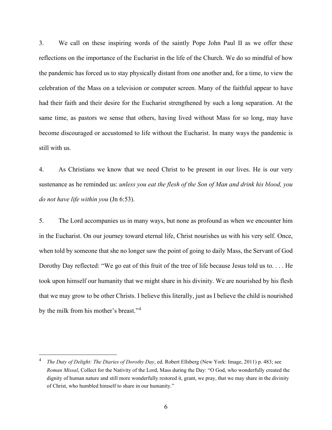3. We call on these inspiring words of the saintly Pope John Paul II as we offer these reflections on the importance of the Eucharist in the life of the Church. We do so mindful of how the pandemic has forced us to stay physically distant from one another and, for a time, to view the celebration of the Mass on a television or computer screen. Many of the faithful appear to have had their faith and their desire for the Eucharist strengthened by such a long separation. At the same time, as pastors we sense that others, having lived without Mass for so long, may have become discouraged or accustomed to life without the Eucharist. In many ways the pandemic is still with us.

4. As Christians we know that we need Christ to be present in our lives. He is our very sustenance as he reminded us: *unless you eat the flesh of the Son of Man and drink his blood, you do not have life within you* (Jn 6:53).

5. The Lord accompanies us in many ways, but none as profound as when we encounter him in the Eucharist. On our journey toward eternal life, Christ nourishes us with his very self. Once, when told by someone that she no longer saw the point of going to daily Mass, the Servant of God Dorothy Day reflected: "We go eat of this fruit of the tree of life because Jesus told us to. . . . He took upon himself our humanity that we might share in his divinity. We are nourished by his flesh that we may grow to be other Christs. I believe this literally, just as I believe the child is nourished by the milk from his mother's breast."[4](#page-5-0)

<span id="page-5-0"></span><sup>4</sup> *The Duty of Delight: The Diaries of Dorothy Day*, ed. Robert Ellsberg (New York: Image, 2011) p. 483; see *Roman Missal*, Collect for the Nativity of the Lord, Mass during the Day: "O God, who wonderfully created the dignity of human nature and still more wonderfully restored it, grant, we pray, that we may share in the divinity of Christ, who humbled himself to share in our humanity."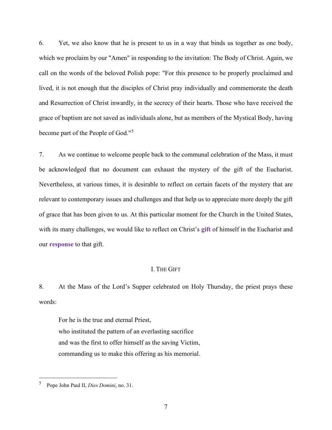6. Yet, we also know that he is present to us in a way that binds us together as one body, which we proclaim by our "Amen" in responding to the invitation: The Body of Christ. Again, we call on the words of the beloved Polish pope: "For this presence to be properly proclaimed and lived, it is not enough that the disciples of Christ pray individually and commemorate the death and Resurrection of Christ inwardly, in the secrecy of their hearts. Those who have received the grace of baptism are not saved as individuals alone, but as members of the Mystical Body, having become part of the People of God."[5](#page-6-0)

7. As we continue to welcome people back to the communal celebration of the Mass, it must be acknowledged that no document can exhaust the mystery of the gift of the Eucharist. Nevertheless, at various times, it is desirable to reflect on certain facets of the mystery that are relevant to contemporary issues and challenges and that help us to appreciate more deeply the gift of grace that has been given to us. At this particular moment for the Church in the United States, with its many challenges, we would like to reflect on Christ's **gift** of himself in the Eucharist and our **response** to that gift.

### I. THE GIFT

8. At the Mass of the Lord's Supper celebrated on Holy Thursday, the priest prays these words:

For he is the true and eternal Priest, who instituted the pattern of an everlasting sacrifice and was the first to offer himself as the saving Victim, commanding us to make this offering as his memorial.

<span id="page-6-0"></span><sup>5</sup> Pope John Paul II, *Dies Domini*, no. 31.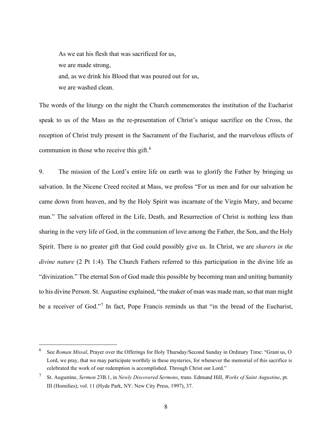As we eat his flesh that was sacrificed for us, we are made strong, and, as we drink his Blood that was poured out for us, we are washed clean.

The words of the liturgy on the night the Church commemorates the institution of the Eucharist speak to us of the Mass as the re-presentation of Christ's unique sacrifice on the Cross, the reception of Christ truly present in the Sacrament of the Eucharist, and the marvelous effects of communion in those who receive this gift.<sup>[6](#page-7-0)</sup>

9. The mission of the Lord's entire life on earth was to glorify the Father by bringing us salvation. In the Nicene Creed recited at Mass, we profess "For us men and for our salvation he came down from heaven, and by the Holy Spirit was incarnate of the Virgin Mary, and became man." The salvation offered in the Life, Death, and Resurrection of Christ is nothing less than sharing in the very life of God, in the communion of love among the Father, the Son, and the Holy Spirit. There is no greater gift that God could possibly give us. In Christ, we are *sharers in the divine nature* (2 Pt 1:4). The Church Fathers referred to this participation in the divine life as "divinization." The eternal Son of God made this possible by becoming man and uniting humanity to his divine Person. St. Augustine explained, "the maker of man was made man, so that man might be a receiver of God."<sup>[7](#page-7-1)</sup> In fact, Pope Francis reminds us that "in the bread of the Eucharist,

<span id="page-7-0"></span><sup>6</sup> See *Roman Missal*, Prayer over the Offerings for Holy Thursday/Second Sunday in Ordinary Time: "Grant us, O Lord, we pray, that we may participate worthily in these mysteries, for whenever the memorial of this sacrifice is celebrated the work of our redemption is accomplished. Through Christ our Lord."

<span id="page-7-1"></span><sup>7</sup> St. Augustine, *Sermon* 23B.1, in *Newly Discovered Sermons*, trans. Edmund Hill, *Works of Saint Augustine*, pt. III (Homilies), vol. 11 (Hyde Park, NY: New City Press, 1997), 37.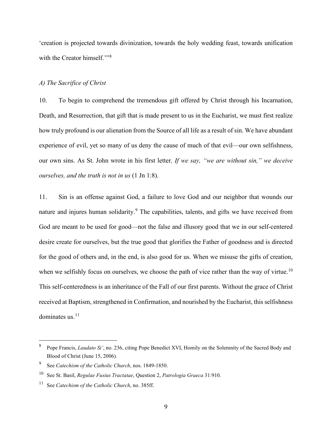'creation is projected towards divinization, towards the holy wedding feast, towards unification with the Creator himself."<sup>[8](#page-8-0)</sup>

### *A) The Sacrifice of Christ*

10. To begin to comprehend the tremendous gift offered by Christ through his Incarnation, Death, and Resurrection, that gift that is made present to us in the Eucharist, we must first realize how truly profound is our alienation from the Source of all life as a result of sin. We have abundant experience of evil, yet so many of us deny the cause of much of that evil—our own selfishness, our own sins. As St. John wrote in his first letter*, If we say, "we are without sin," we deceive ourselves, and the truth is not in us* (1 Jn 1:8).

11. Sin is an offense against God, a failure to love God and our neighbor that wounds our nature and injures human solidarity.<sup>[9](#page-8-1)</sup> The capabilities, talents, and gifts we have received from God are meant to be used for good—not the false and illusory good that we in our self-centered desire create for ourselves, but the true good that glorifies the Father of goodness and is directed for the good of others and, in the end, is also good for us. When we misuse the gifts of creation, when we selfishly focus on ourselves, we choose the path of vice rather than the way of virtue.<sup>[10](#page-8-2)</sup> This self-centeredness is an inheritance of the Fall of our first parents. Without the grace of Christ received at Baptism, strengthened in Confirmation, and nourished by the Eucharist, this selfishness dominates us. $^{11}$  $^{11}$  $^{11}$ 

<span id="page-8-0"></span><sup>8</sup> Pope Francis, *Laudato Si'*, no. 236, citing Pope Benedict XVI, Homily on the Solemnity of the Sacred Body and Blood of Christ (June 15, 2006).

<span id="page-8-1"></span><sup>9</sup> See *Catechism of the Catholic Church*, nos. 1849-1850.

<span id="page-8-2"></span><sup>10</sup> See St. Basil, *Regulae Fusius Tractatae*, Question 2, *Patrologia Graeca* 31:910.

<span id="page-8-3"></span><sup>11</sup> See *Catechism of the Catholic Church*, no. 385ff.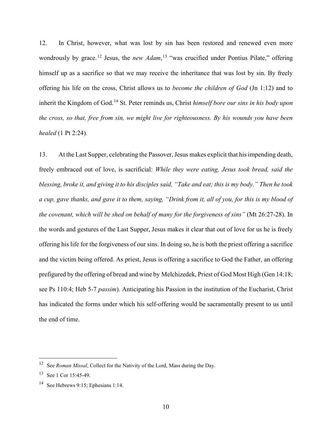12. In Christ, however, what was lost by sin has been restored and renewed even more wondrously by grace.<sup>[12](#page-9-0)</sup> Jesus, the *new Adam*,<sup>[13](#page-9-1)</sup> "was crucified under Pontius Pilate," offering himself up as a sacrifice so that we may receive the inheritance that was lost by sin. By freely offering his life on the cross, Christ allows us to *become the children of God* (Jn 1:12) and to inherit the Kingdom of God.[14](#page-9-2) St. Peter reminds us, Christ *himself bore our sins in his body upon the cross, so that, free from sin, we might live for righteousness. By his wounds you have been healed* (1 Pt 2:24).

13. At the Last Supper, celebrating the Passover, Jesus makes explicit that his impending death, freely embraced out of love, is sacrificial: *While they were eating, Jesus took bread, said the blessing, broke it, and giving it to his disciples said, "Take and eat; this is my body." Then he took a cup, gave thanks, and gave it to them, saying, "Drink from it, all of you, for this is my blood of the covenant, which will be shed on behalf of many for the forgiveness of sins"* (Mt 26:27-28). In the words and gestures of the Last Supper, Jesus makes it clear that out of love for us he is freely offering his life for the forgiveness of our sins. In doing so, he is both the priest offering a sacrifice and the victim being offered. As priest, Jesus is offering a sacrifice to God the Father, an offering prefigured by the offering of bread and wine by Melchizedek, Priest of God Most High (Gen 14:18; see Ps 110:4; Heb 5-7 *passim*). Anticipating his Passion in the institution of the Eucharist, Christ has indicated the forms under which his self-offering would be sacramentally present to us until the end of time.

<span id="page-9-0"></span><sup>12</sup> See *Roman Missal*, Collect for the Nativity of the Lord, Mass during the Day.

<span id="page-9-1"></span><sup>13</sup> See 1 Cor 15:45-49.

<span id="page-9-2"></span><sup>&</sup>lt;sup>14</sup> See Hebrews 9:15; Ephesians 1:14.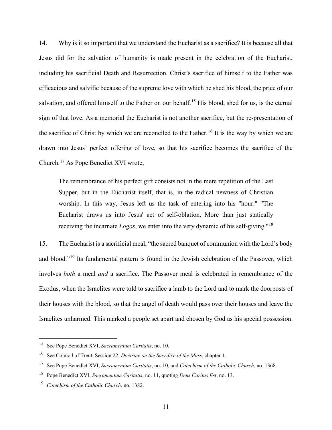14. Why is it so important that we understand the Eucharist as a sacrifice? It is because all that Jesus did for the salvation of humanity is made present in the celebration of the Eucharist, including his sacrificial Death and Resurrection. Christ's sacrifice of himself to the Father was efficacious and salvific because of the supreme love with which he shed his blood, the price of our salvation, and offered himself to the Father on our behalf.<sup>[15](#page-10-0)</sup> His blood, shed for us, is the eternal sign of that love. As a memorial the Eucharist is not another sacrifice, but the re-presentation of the sacrifice of Christ by which we are reconciled to the Father.<sup>[16](#page-10-1)</sup> It is the way by which we are drawn into Jesus' perfect offering of love, so that his sacrifice becomes the sacrifice of the Church.<sup>[17](#page-10-2)</sup> As Pope Benedict XVI wrote,

The remembrance of his perfect gift consists not in the mere repetition of the Last Supper, but in the Eucharist itself, that is, in the radical newness of Christian worship. In this way, Jesus left us the task of entering into his "hour." "The Eucharist draws us into Jesus' act of self-oblation. More than just statically receiving the incarnate *Logos*, we enter into the very dynamic of his self-giving."[18](#page-10-3)

15. The Eucharist is a sacrificial meal, "the sacred banquet of communion with the Lord's body and blood."<sup>[19](#page-10-4)</sup> Its fundamental pattern is found in the Jewish celebration of the Passover, which involves *both* a meal *and* a sacrifice. The Passover meal is celebrated in remembrance of the Exodus, when the Israelites were told to sacrifice a lamb to the Lord and to mark the doorposts of their houses with the blood, so that the angel of death would pass over their houses and leave the Israelites unharmed. This marked a people set apart and chosen by God as his special possession.

<span id="page-10-0"></span><sup>15</sup> See Pope Benedict XVI, *Sacramentum Caritatis*, no. 10.

<span id="page-10-1"></span><sup>16</sup> See Council of Trent, Session 22, *Doctrine on the Sacrifice of the Mass,* chapter 1.

<span id="page-10-2"></span><sup>17</sup> See Pope Benedict XVI, *Sacramentum Caritatis*, no. 10, and *Catechism of the Catholic Church*, no. 1368.

<span id="page-10-3"></span><sup>18</sup> Pope Benedict XVI, *Sacramentum Caritatis*, no. 11, quoting *Deus Caritas Est*, no. 13.

<span id="page-10-4"></span><sup>19</sup> *Catechism of the Catholic Church*, no. 1382.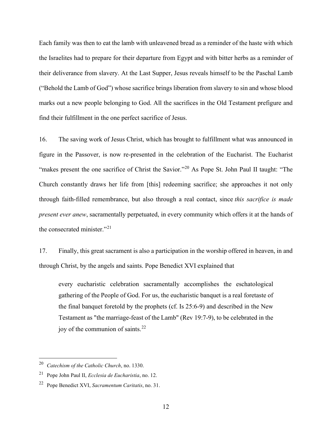Each family was then to eat the lamb with unleavened bread as a reminder of the haste with which the Israelites had to prepare for their departure from Egypt and with bitter herbs as a reminder of their deliverance from slavery. At the Last Supper, Jesus reveals himself to be the Paschal Lamb ("Behold the Lamb of God") whose sacrifice brings liberation from slavery to sin and whose blood marks out a new people belonging to God. All the sacrifices in the Old Testament prefigure and find their fulfillment in the one perfect sacrifice of Jesus.

16. The saving work of Jesus Christ, which has brought to fulfillment what was announced in figure in the Passover, is now re-presented in the celebration of the Eucharist. The Eucharist "makes present the one sacrifice of Christ the Savior."[20](#page-11-0) As Pope St. John Paul II taught: "The Church constantly draws her life from [this] redeeming sacrifice; she approaches it not only through faith-filled remembrance, but also through a real contact, since *this sacrifice is made present ever anew*, sacramentally perpetuated, in every community which offers it at the hands of the consecrated minister."<sup>[21](#page-11-1)</sup>

17. Finally, this great sacrament is also a participation in the worship offered in heaven, in and through Christ, by the angels and saints. Pope Benedict XVI explained that

every eucharistic celebration sacramentally accomplishes the eschatological gathering of the People of God. For us, the eucharistic banquet is a real foretaste of the final banquet foretold by the prophets (cf. Is 25:6-9) and described in the New Testament as "the marriage-feast of the Lamb" (Rev 19:7-9), to be celebrated in the joy of the communion of saints.<sup>[22](#page-11-2)</sup>

<span id="page-11-0"></span><sup>20</sup> *Catechism of the Catholic Church*, no. 1330.

<span id="page-11-1"></span><sup>21</sup> Pope John Paul II, *Ecclesia de Eucharistia*, no. 12.

<span id="page-11-2"></span><sup>22</sup> Pope Benedict XVI, *Sacramentum Caritatis*, no. 31.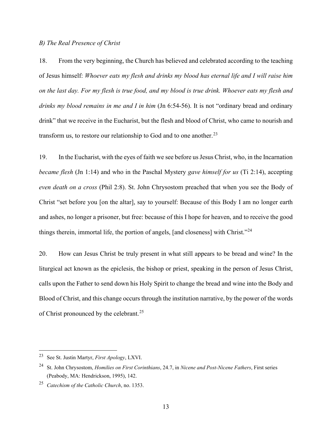# *B) The Real Presence of Christ*

18. From the very beginning, the Church has believed and celebrated according to the teaching of Jesus himself: *Whoever eats my flesh and drinks my blood has eternal life and I will raise him on the last day. For my flesh is true food, and my blood is true drink. Whoever eats my flesh and drinks my blood remains in me and I in him* (Jn 6:54-56). It is not "ordinary bread and ordinary drink" that we receive in the Eucharist, but the flesh and blood of Christ, who came to nourish and transform us, to restore our relationship to God and to one another.<sup>[23](#page-12-0)</sup>

19. In the Eucharist, with the eyes of faith we see before us Jesus Christ, who, in the Incarnation *became flesh* (Jn 1:14) and who in the Paschal Mystery *gave himself for us* (Ti 2:14), accepting *even death on a cross* (Phil 2:8). St. John Chrysostom preached that when you see the Body of Christ "set before you [on the altar], say to yourself: Because of this Body I am no longer earth and ashes, no longer a prisoner, but free: because of this I hope for heaven, and to receive the good things therein, immortal life, the portion of angels, [and closeness] with Christ."[24](#page-12-1)

20. How can Jesus Christ be truly present in what still appears to be bread and wine? In the liturgical act known as the epiclesis, the bishop or priest, speaking in the person of Jesus Christ, calls upon the Father to send down his Holy Spirit to change the bread and wine into the Body and Blood of Christ, and this change occurs through the institution narrative, by the power of the words of Christ pronounced by the celebrant.<sup>[25](#page-12-2)</sup>

<span id="page-12-0"></span><sup>23</sup> See St. Justin Martyr, *First Apology*, LXVI.

<span id="page-12-1"></span><sup>24</sup> St. John Chrysostom, *Homilies on First Corinthians*, 24.7, in *Nicene and Post-Nicene Fathers*, First series (Peabody, MA: Hendrickson, 1995), 142.

<span id="page-12-2"></span><sup>25</sup> *Catechism of the Catholic Church*, no. 1353.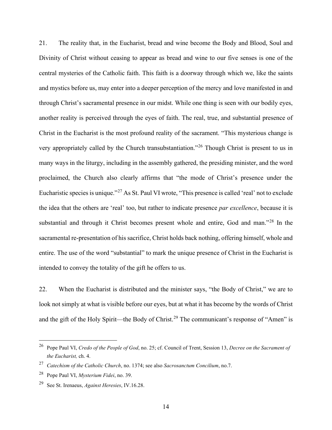21. The reality that, in the Eucharist, bread and wine become the Body and Blood, Soul and Divinity of Christ without ceasing to appear as bread and wine to our five senses is one of the central mysteries of the Catholic faith. This faith is a doorway through which we, like the saints and mystics before us, may enter into a deeper perception of the mercy and love manifested in and through Christ's sacramental presence in our midst. While one thing is seen with our bodily eyes, another reality is perceived through the eyes of faith. The real, true, and substantial presence of Christ in the Eucharist is the most profound reality of the sacrament. "This mysterious change is very appropriately called by the Church transubstantiation."[26](#page-13-0) Though Christ is present to us in many ways in the liturgy, including in the assembly gathered, the presiding minister, and the word proclaimed, the Church also clearly affirms that "the mode of Christ's presence under the Eucharistic species is unique."[27](#page-13-1) As St. Paul VI wrote, "This presence is called 'real' not to exclude the idea that the others are 'real' too, but rather to indicate presence *par excellence*, because it is substantial and through it Christ becomes present whole and entire, God and man."[28](#page-13-2) In the sacramental re-presentation of his sacrifice, Christ holds back nothing, offering himself, whole and entire. The use of the word "substantial" to mark the unique presence of Christ in the Eucharist is intended to convey the totality of the gift he offers to us.

22. When the Eucharist is distributed and the minister says, "the Body of Christ," we are to look not simply at what is visible before our eyes, but at what it has become by the words of Christ and the gift of the Holy Spirit—the Body of Christ.<sup>[29](#page-13-3)</sup> The communicant's response of "Amen" is

<span id="page-13-0"></span><sup>26</sup> Pope Paul VI, *Credo of the People of God*, no. 25; cf. Council of Trent, Session 13, *Decree on the Sacrament of the Eucharist,* ch. 4.

<span id="page-13-1"></span><sup>27</sup> *Catechism of the Catholic Church*, no. 1374; see also *Sacrosanctum Concilium*, no.7.

<span id="page-13-2"></span><sup>28</sup> Pope Paul VI, *Mysterium Fidei*, no. 39.

<span id="page-13-3"></span><sup>29</sup> See St. Irenaeus, *Against Heresies*, IV.16.28.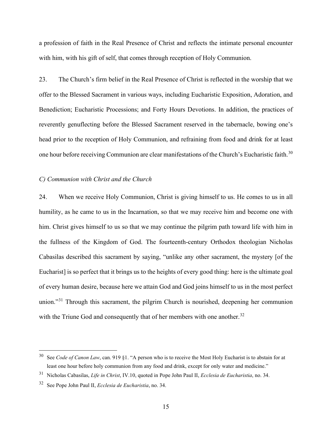a profession of faith in the Real Presence of Christ and reflects the intimate personal encounter with him, with his gift of self, that comes through reception of Holy Communion.

23. The Church's firm belief in the Real Presence of Christ is reflected in the worship that we offer to the Blessed Sacrament in various ways, including Eucharistic Exposition, Adoration, and Benediction; Eucharistic Processions; and Forty Hours Devotions. In addition, the practices of reverently genuflecting before the Blessed Sacrament reserved in the tabernacle, bowing one's head prior to the reception of Holy Communion, and refraining from food and drink for at least one hour before receiving Communion are clear manifestations of the Church's Eucharistic faith.<sup>[30](#page-14-0)</sup>

# *C) Communion with Christ and the Church*

24. When we receive Holy Communion, Christ is giving himself to us. He comes to us in all humility, as he came to us in the Incarnation, so that we may receive him and become one with him. Christ gives himself to us so that we may continue the pilgrim path toward life with him in the fullness of the Kingdom of God. The fourteenth-century Orthodox theologian Nicholas Cabasilas described this sacrament by saying, "unlike any other sacrament, the mystery [of the Eucharist] is so perfect that it brings us to the heights of every good thing: here is the ultimate goal of every human desire, because here we attain God and God joins himself to us in the most perfect union."[31](#page-14-1) Through this sacrament, the pilgrim Church is nourished, deepening her communion with the Triune God and consequently that of her members with one another.<sup>[32](#page-14-2)</sup>

<span id="page-14-0"></span><sup>30</sup> See *Code of Canon Law*, can. 919 §1. "A person who is to receive the Most Holy Eucharist is to abstain for at least one hour before holy communion from any food and drink, except for only water and medicine."

<span id="page-14-1"></span><sup>31</sup> Nicholas Cabasilas, *Life in Christ*, IV.10, quoted in Pope John Paul II, *Ecclesia de Eucharistia*, no. 34.

<span id="page-14-2"></span><sup>32</sup> See Pope John Paul II, *Ecclesia de Eucharistia*, no. 34.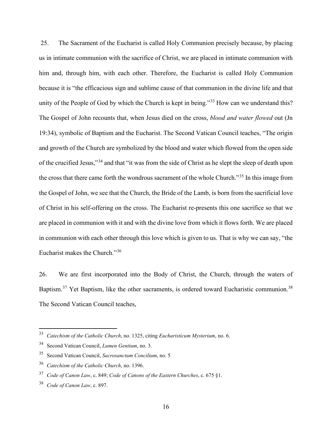25. The Sacrament of the Eucharist is called Holy Communion precisely because, by placing us in intimate communion with the sacrifice of Christ, we are placed in intimate communion with him and, through him, with each other. Therefore, the Eucharist is called Holy Communion because it is "the efficacious sign and sublime cause of that communion in the divine life and that unity of the People of God by which the Church is kept in being."<sup>[33](#page-15-0)</sup> How can we understand this? The Gospel of John recounts that, when Jesus died on the cross, *blood and water flowed* out (Jn 19:34), symbolic of Baptism and the Eucharist. The Second Vatican Council teaches, "The origin and growth of the Church are symbolized by the blood and water which flowed from the open side of the crucified Jesus,"[34](#page-15-1) and that "it was from the side of Christ as he slept the sleep of death upon the cross that there came forth the wondrous sacrament of the whole Church."[35](#page-15-2) In this image from the Gospel of John, we see that the Church, the Bride of the Lamb, is born from the sacrificial love of Christ in his self-offering on the cross. The Eucharist re-presents this one sacrifice so that we are placed in communion with it and with the divine love from which it flows forth. We are placed in communion with each other through this love which is given to us. That is why we can say, "the Eucharist makes the Church."[36](#page-15-3)

26. We are first incorporated into the Body of Christ, the Church, through the waters of Baptism.<sup>[37](#page-15-4)</sup> Yet Baptism, like the other sacraments, is ordered toward Eucharistic communion.<sup>[38](#page-15-5)</sup> The Second Vatican Council teaches,

<span id="page-15-0"></span><sup>33</sup> *Catechism of the Catholic Church*, no. 1325, citing *Eucharisticum Mysterium*, no. 6.

<span id="page-15-1"></span><sup>34</sup> Second Vatican Council, *Lumen Gentium*, no. 3.

<span id="page-15-2"></span><sup>35</sup> Second Vatican Council, *Sacrosanctum Concilium*, no. 5

<span id="page-15-3"></span><sup>36</sup> *Catechism of the Catholic Church*, no. 1396.

<span id="page-15-4"></span><sup>37</sup> *Code of Canon Law*, c. 849; *Code of Canons of the Eastern Churches*, c. 675 §1.

<span id="page-15-5"></span><sup>38</sup> *Code of Canon Law*, c. 897.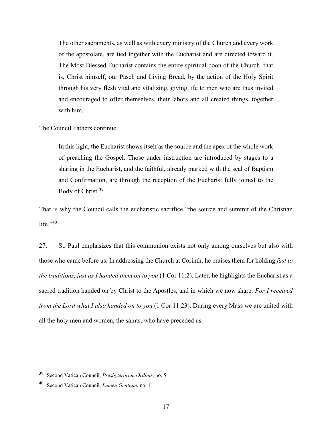The other sacraments, as well as with every ministry of the Church and every work of the apostolate, are tied together with the Eucharist and are directed toward it. The Most Blessed Eucharist contains the entire spiritual boon of the Church, that is, Christ himself, our Pasch and Living Bread, by the action of the Holy Spirit through his very flesh vital and vitalizing, giving life to men who are thus invited and encouraged to offer themselves, their labors and all created things, together with him.

The Council Fathers continue,

In this light, the Eucharist shows itself as the source and the apex of the whole work of preaching the Gospel. Those under instruction are introduced by stages to a sharing in the Eucharist, and the faithful, already marked with the seal of Baptism and Confirmation, are through the reception of the Eucharist fully joined to the Body of Christ.<sup>[39](#page-16-0)</sup>

That is why the Council calls the eucharistic sacrifice "the source and summit of the Christian life." $40$ 

27. St. Paul emphasizes that this communion exists not only among ourselves but also with those who came before us. In addressing the Church at Corinth, he praises them for holding *fast to the traditions, just as I handed them on to you* (1 Cor 11:2). Later, he highlights the Eucharist as a sacred tradition handed on by Christ to the Apostles, and in which we now share: *For I received from the Lord what I also handed on to you* (1 Cor 11:23). During every Mass we are united with all the holy men and women, the saints, who have preceded us.

<span id="page-16-0"></span><sup>39</sup> Second Vatican Council, *Presbyterorum Ordinis*, no. 5.

<span id="page-16-1"></span><sup>40</sup> Second Vatican Council, *Lumen Gentium*, no. 11.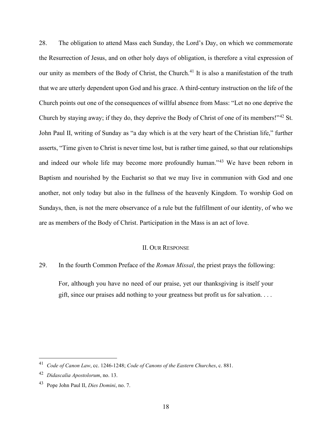28. The obligation to attend Mass each Sunday, the Lord's Day, on which we commemorate the Resurrection of Jesus, and on other holy days of obligation, is therefore a vital expression of our unity as members of the Body of Christ, the Church.<sup>[41](#page-17-0)</sup> It is also a manifestation of the truth that we are utterly dependent upon God and his grace. A third-century instruction on the life of the Church points out one of the consequences of willful absence from Mass: "Let no one deprive the Church by staying away; if they do, they deprive the Body of Christ of one of its members!"[42](#page-17-1) St. John Paul II, writing of Sunday as "a day which is at the very heart of the Christian life," further asserts, "Time given to Christ is never time lost, but is rather time gained, so that our relationships and indeed our whole life may become more profoundly human."[43](#page-17-2) We have been reborn in Baptism and nourished by the Eucharist so that we may live in communion with God and one another, not only today but also in the fullness of the heavenly Kingdom. To worship God on Sundays, then, is not the mere observance of a rule but the fulfillment of our identity, of who we are as members of the Body of Christ. Participation in the Mass is an act of love.

### II. OUR RESPONSE

29. In the fourth Common Preface of the *Roman Missal*, the priest prays the following:

For, although you have no need of our praise, yet our thanksgiving is itself your gift, since our praises add nothing to your greatness but profit us for salvation. . . .

<span id="page-17-0"></span><sup>41</sup> *Code of Canon Law*, cc. 1246-1248; *Code of Canons of the Eastern Churches*, c. 881.

<span id="page-17-1"></span><sup>42</sup> *Didascalia Apostolorum*, no. 13.

<span id="page-17-2"></span><sup>43</sup> Pope John Paul II, *Dies Domini*, no. 7.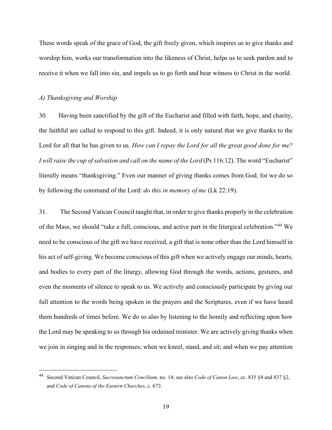These words speak of the grace of God, the gift freely given, which inspires us to give thanks and worship him, works our transformation into the likeness of Christ, helps us to seek pardon and to receive it when we fall into sin, and impels us to go forth and bear witness to Christ in the world.

#### *A) Thanksgiving and Worship*

30. Having been sanctified by the gift of the Eucharist and filled with faith, hope, and charity, the faithful are called to respond to this gift. Indeed, it is only natural that we give thanks to the Lord for all that he has given to us. *How can I repay the Lord for all the great good done for me? I will raise the cup of salvation and call on the name of the Lord* (Ps 116:12). The word "Eucharist" literally means "thanksgiving." Even our manner of giving thanks comes from God, for we do so by following the command of the Lord: *do this in memory of me* (Lk 22:19).

31. The Second Vatican Council taught that, in order to give thanks properly in the celebration of the Mass, we should "take a full, conscious, and active part in the liturgical celebration."[44](#page-18-0) We need to be conscious of the gift we have received, a gift that is none other than the Lord himself in his act of self-giving. We become conscious of this gift when we actively engage our minds, hearts, and bodies to every part of the liturgy, allowing God through the words, actions, gestures, and even the moments of silence to speak to us. We actively and consciously participate by giving our full attention to the words being spoken in the prayers and the Scriptures, even if we have heard them hundreds of times before. We do so also by listening to the homily and reflecting upon how the Lord may be speaking to us through his ordained minister. We are actively giving thanks when we join in singing and in the responses; when we kneel, stand, and sit; and when we pay attention

<span id="page-18-0"></span><sup>44</sup> Second Vatican Council, *Sacrosanctum Concilium*, no. 14; see also *Code of Canon Law*, cc. 835 §4 and 837 §2, and *Code of Canons of the Eastern Churches*, c. 673.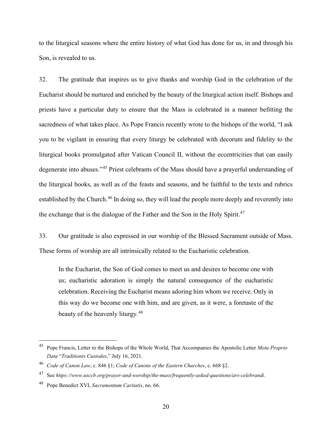to the liturgical seasons where the entire history of what God has done for us, in and through his Son, is revealed to us.

32. The gratitude that inspires us to give thanks and worship God in the celebration of the Eucharist should be nurtured and enriched by the beauty of the liturgical action itself. Bishops and priests have a particular duty to ensure that the Mass is celebrated in a manner befitting the sacredness of what takes place. As Pope Francis recently wrote to the bishops of the world, "I ask you to be vigilant in ensuring that every liturgy be celebrated with decorum and fidelity to the liturgical books promulgated after Vatican Council II, without the eccentricities that can easily degenerate into abuses."[45](#page-19-0) Priest celebrants of the Mass should have a prayerful understanding of the liturgical books, as well as of the feasts and seasons, and be faithful to the texts and rubrics established by the Church.<sup>[46](#page-19-1)</sup> In doing so, they will lead the people more deeply and reverently into the exchange that is the dialogue of the Father and the Son in the Holy Spirit.<sup>[47](#page-19-2)</sup>

33. Our gratitude is also expressed in our worship of the Blessed Sacrament outside of Mass. These forms of worship are all intrinsically related to the Eucharistic celebration.

In the Eucharist, the Son of God comes to meet us and desires to become one with us; eucharistic adoration is simply the natural consequence of the eucharistic celebration. Receiving the Eucharist means adoring him whom we receive. Only in this way do we become one with him, and are given, as it were, a foretaste of the beauty of the heavenly liturgy.<sup>[48](#page-19-3)</sup>

<span id="page-19-0"></span><sup>45</sup> Pope Francis, Letter to the Bishops of the Whole World, That Accompanies the Apostolic Letter *Motu Proprio Data* "*Traditionis Custodes*," July 16, 2021.

<span id="page-19-1"></span><sup>46</sup> *Code of Canon Law*, c. 846 §1; *Code of Canons of the Eastern Churches*, c. 668 §2.

<span id="page-19-2"></span><sup>47</sup> See *https://www.usccb.org/prayer-and-worship/the-mass/frequently-asked-questions/ars-celebrandi*.

<span id="page-19-3"></span><sup>48</sup> Pope Benedict XVI, *Sacramentum Caritatis*, no. 66.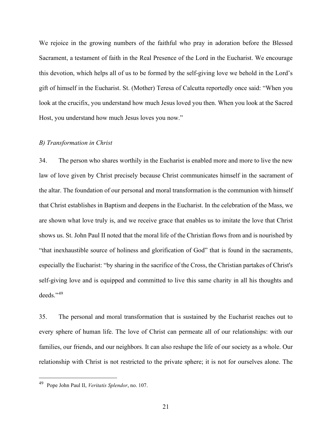We rejoice in the growing numbers of the faithful who pray in adoration before the Blessed Sacrament, a testament of faith in the Real Presence of the Lord in the Eucharist. We encourage this devotion, which helps all of us to be formed by the self-giving love we behold in the Lord's gift of himself in the Eucharist. St. (Mother) Teresa of Calcutta reportedly once said: "When you look at the crucifix, you understand how much Jesus loved you then. When you look at the Sacred Host, you understand how much Jesus loves you now."

# *B) Transformation in Christ*

34. The person who shares worthily in the Eucharist is enabled more and more to live the new law of love given by Christ precisely because Christ communicates himself in the sacrament of the altar. The foundation of our personal and moral transformation is the communion with himself that Christ establishes in Baptism and deepens in the Eucharist. In the celebration of the Mass, we are shown what love truly is, and we receive grace that enables us to imitate the love that Christ shows us. St. John Paul II noted that the moral life of the Christian flows from and is nourished by "that inexhaustible source of holiness and glorification of God" that is found in the sacraments, especially the Eucharist: "by sharing in the sacrifice of the Cross, the Christian partakes of Christ's self-giving love and is equipped and committed to live this same charity in all his thoughts and deeds."[49](#page-20-0)

35. The personal and moral transformation that is sustained by the Eucharist reaches out to every sphere of human life. The love of Christ can permeate all of our relationships: with our families, our friends, and our neighbors. It can also reshape the life of our society as a whole. Our relationship with Christ is not restricted to the private sphere; it is not for ourselves alone. The

<span id="page-20-0"></span><sup>49</sup> Pope John Paul II, *Veritatis Splendor*, no. 107.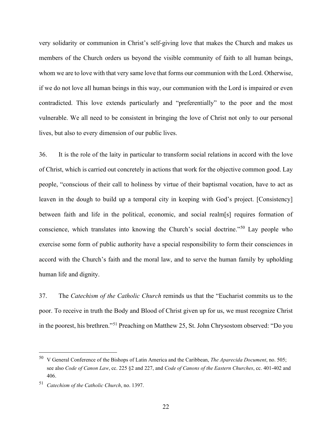very solidarity or communion in Christ's self-giving love that makes the Church and makes us members of the Church orders us beyond the visible community of faith to all human beings, whom we are to love with that very same love that forms our communion with the Lord. Otherwise, if we do not love all human beings in this way, our communion with the Lord is impaired or even contradicted. This love extends particularly and "preferentially" to the poor and the most vulnerable. We all need to be consistent in bringing the love of Christ not only to our personal lives, but also to every dimension of our public lives.

36. It is the role of the laity in particular to transform social relations in accord with the love of Christ, which is carried out concretely in actions that work for the objective common good. Lay people, "conscious of their call to holiness by virtue of their baptismal vocation, have to act as leaven in the dough to build up a temporal city in keeping with God's project. [Consistency] between faith and life in the political, economic, and social realm[s] requires formation of conscience, which translates into knowing the Church's social doctrine."[50](#page-21-0) Lay people who exercise some form of public authority have a special responsibility to form their consciences in accord with the Church's faith and the moral law, and to serve the human family by upholding human life and dignity.

37. The *Catechism of the Catholic Church* reminds us that the "Eucharist commits us to the poor. To receive in truth the Body and Blood of Christ given up for us, we must recognize Christ in the poorest, his brethren."[51](#page-21-1) Preaching on Matthew 25, St. John Chrysostom observed: "Do you

<span id="page-21-0"></span><sup>50</sup> V General Conference of the Bishops of Latin America and the Caribbean, *The Aparecida Document*, no. 505; see also *Code of Canon Law*, cc. 225 §2 and 227, and *Code of Canons of the Eastern Churches*, cc. 401-402 and 406.

<span id="page-21-1"></span><sup>51</sup> *Catechism of the Catholic Church*, no. 1397.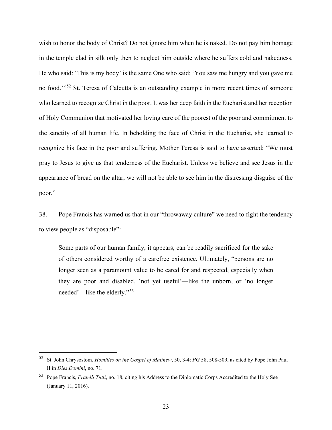wish to honor the body of Christ? Do not ignore him when he is naked. Do not pay him homage in the temple clad in silk only then to neglect him outside where he suffers cold and nakedness. He who said: 'This is my body' is the same One who said: 'You saw me hungry and you gave me no food.'"<sup>[52](#page-22-0)</sup> St. Teresa of Calcutta is an outstanding example in more recent times of someone who learned to recognize Christ in the poor. It was her deep faith in the Eucharist and her reception of Holy Communion that motivated her loving care of the poorest of the poor and commitment to the sanctity of all human life. In beholding the face of Christ in the Eucharist, she learned to recognize his face in the poor and suffering. Mother Teresa is said to have asserted: "We must pray to Jesus to give us that tenderness of the Eucharist. Unless we believe and see Jesus in the appearance of bread on the altar, we will not be able to see him in the distressing disguise of the poor."

38. Pope Francis has warned us that in our "throwaway culture" we need to fight the tendency to view people as "disposable":

Some parts of our human family, it appears, can be readily sacrificed for the sake of others considered worthy of a carefree existence. Ultimately, "persons are no longer seen as a paramount value to be cared for and respected, especially when they are poor and disabled, 'not yet useful'—like the unborn, or 'no longer needed'—like the elderly."[53](#page-22-1)

<span id="page-22-0"></span><sup>52</sup> St. John Chrysostom, *Homilies on the Gospel of Matthew*, 50, 3-4: *PG* 58, 508-509, as cited by Pope John Paul II in *Dies Domini*, no. 71.

<span id="page-22-1"></span><sup>53</sup> Pope Francis, *Fratelli Tutti*, no. 18, citing his Address to the Diplomatic Corps Accredited to the Holy See (January 11, 2016).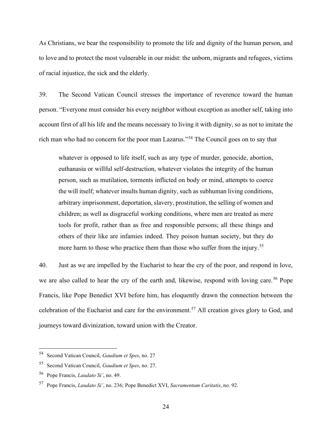As Christians, we bear the responsibility to promote the life and dignity of the human person, and to love and to protect the most vulnerable in our midst: the unborn, migrants and refugees, victims of racial injustice, the sick and the elderly.

39. The Second Vatican Council stresses the importance of reverence toward the human person. "Everyone must consider his every neighbor without exception as another self, taking into account first of all his life and the means necessary to living it with dignity, so as not to imitate the rich man who had no concern for the poor man Lazarus."[54](#page-23-0) The Council goes on to say that

whatever is opposed to life itself, such as any type of murder, genocide, abortion, euthanasia or willful self-destruction, whatever violates the integrity of the human person, such as mutilation, torments inflicted on body or mind, attempts to coerce the will itself; whatever insults human dignity, such as subhuman living conditions, arbitrary imprisonment, deportation, slavery, prostitution, the selling of women and children; as well as disgraceful working conditions, where men are treated as mere tools for profit, rather than as free and responsible persons; all these things and others of their like are infamies indeed. They poison human society, but they do more harm to those who practice them than those who suffer from the injury.<sup>[55](#page-23-1)</sup>

40. Just as we are impelled by the Eucharist to hear the cry of the poor, and respond in love, we are also called to hear the cry of the earth and, likewise, respond with loving care.<sup>[56](#page-23-2)</sup> Pope Francis, like Pope Benedict XVI before him, has eloquently drawn the connection between the celebration of the Eucharist and care for the environment.[57](#page-23-3) All creation gives glory to God, and journeys toward divinization, toward union with the Creator.

<span id="page-23-0"></span><sup>54</sup> Second Vatican Council, *Gaudium et Spes*, no. 27

<span id="page-23-1"></span><sup>55</sup> Second Vatican Council, *Gaudium et Spes*, no. 27.

<span id="page-23-2"></span><sup>56</sup> Pope Francis, *Laudato Si'*, no. 49.

<span id="page-23-3"></span><sup>57</sup> Pope Francis, *Laudato Si'*, no. 236; Pope Benedict XVI, *Sacramentum Caritatis*, no. 92.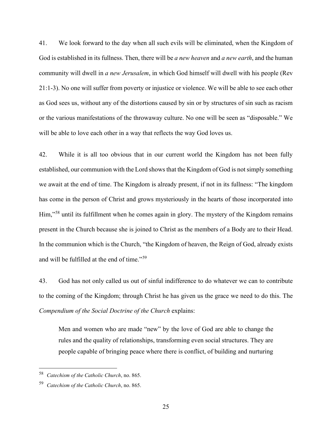41. We look forward to the day when all such evils will be eliminated, when the Kingdom of God is established in its fullness. Then, there will be *a new heaven* and *a new earth*, and the human community will dwell in *a new Jerusalem*, in which God himself will dwell with his people (Rev 21:1-3). No one will suffer from poverty or injustice or violence. We will be able to see each other as God sees us, without any of the distortions caused by sin or by structures of sin such as racism or the various manifestations of the throwaway culture. No one will be seen as "disposable." We will be able to love each other in a way that reflects the way God loves us.

42. While it is all too obvious that in our current world the Kingdom has not been fully established, our communion with the Lord shows that the Kingdom of God is not simply something we await at the end of time. The Kingdom is already present, if not in its fullness: "The kingdom has come in the person of Christ and grows mysteriously in the hearts of those incorporated into Him,"[58](#page-24-0) until its fulfillment when he comes again in glory. The mystery of the Kingdom remains present in the Church because she is joined to Christ as the members of a Body are to their Head. In the communion which is the Church, "the Kingdom of heaven, the Reign of God, already exists and will be fulfilled at the end of time."[59](#page-24-1)

43. God has not only called us out of sinful indifference to do whatever we can to contribute to the coming of the Kingdom; through Christ he has given us the grace we need to do this. The *Compendium of the Social Doctrine of the Church* explains:

Men and women who are made "new" by the love of God are able to change the rules and the quality of relationships, transforming even social structures. They are people capable of bringing peace where there is conflict, of building and nurturing

<span id="page-24-0"></span><sup>58</sup> *Catechism of the Catholic Church*, no. 865.

<span id="page-24-1"></span><sup>59</sup> *Catechism of the Catholic Church*, no. 865.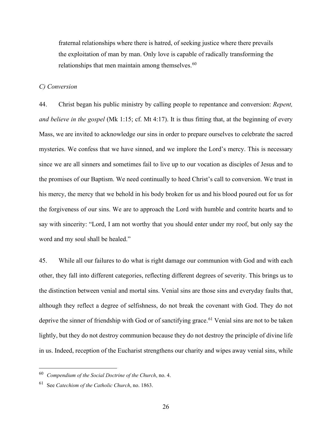fraternal relationships where there is hatred, of seeking justice where there prevails the exploitation of man by man. Only love is capable of radically transforming the relationships that men maintain among themselves. $60$ 

#### *C) Conversion*

44. Christ began his public ministry by calling people to repentance and conversion: *Repent, and believe in the gospel* (Mk 1:15; cf. Mt 4:17). It is thus fitting that, at the beginning of every Mass, we are invited to acknowledge our sins in order to prepare ourselves to celebrate the sacred mysteries. We confess that we have sinned, and we implore the Lord's mercy. This is necessary since we are all sinners and sometimes fail to live up to our vocation as disciples of Jesus and to the promises of our Baptism. We need continually to heed Christ's call to conversion. We trust in his mercy, the mercy that we behold in his body broken for us and his blood poured out for us for the forgiveness of our sins. We are to approach the Lord with humble and contrite hearts and to say with sincerity: "Lord, I am not worthy that you should enter under my roof, but only say the word and my soul shall be healed."

45. While all our failures to do what is right damage our communion with God and with each other, they fall into different categories, reflecting different degrees of severity. This brings us to the distinction between venial and mortal sins. Venial sins are those sins and everyday faults that, although they reflect a degree of selfishness, do not break the covenant with God. They do not deprive the sinner of friendship with God or of sanctifying grace.<sup>[61](#page-25-1)</sup> Venial sins are not to be taken lightly, but they do not destroy communion because they do not destroy the principle of divine life in us. Indeed, reception of the Eucharist strengthens our charity and wipes away venial sins, while

<span id="page-25-0"></span><sup>60</sup> *Compendium of the Social Doctrine of the Church*, no. 4.

<span id="page-25-1"></span>See *Catechism of the Catholic Church*, no. 1863.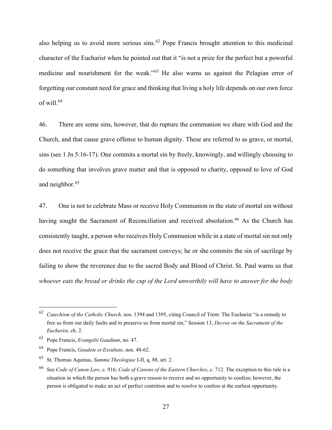also helping us to avoid more serious sins.<sup>[62](#page-26-0)</sup> Pope Francis brought attention to this medicinal character of the Eucharist when he pointed out that it "is not a prize for the perfect but a powerful medicine and nourishment for the weak."[63](#page-26-1) He also warns us against the Pelagian error of forgetting our constant need for grace and thinking that living a holy life depends on our own force of will. $64$ 

46. There are some sins, however, that do rupture the communion we share with God and the Church, and that cause grave offense to human dignity. These are referred to as grave, or mortal, sins (see 1 Jn 5:16-17). One commits a mortal sin by freely, knowingly, and willingly choosing to do something that involves grave matter and that is opposed to charity, opposed to love of God and neighbor.<sup>[65](#page-26-3)</sup>

47. One is not to celebrate Mass or receive Holy Communion in the state of mortal sin without having sought the Sacrament of Reconciliation and received absolution.<sup>[66](#page-26-4)</sup> As the Church has consistently taught, a person who receives Holy Communion while in a state of mortal sin not only does not receive the grace that the sacrament conveys; he or she commits the sin of sacrilege by failing to show the reverence due to the sacred Body and Blood of Christ. St. Paul warns us that *whoever eats the bread or drinks the cup of the Lord unworthily will have to answer for the body* 

<span id="page-26-0"></span><sup>62</sup> *Catechism of the Catholic Church*, nos. 1394 and 1395, citing Council of Trent: The Eucharist "is a remedy to free us from our daily faults and to preserve us from mortal sin," Session 13, *Decree on the Sacrament of the Eucharist,* ch. 2.

<span id="page-26-1"></span><sup>63</sup> Pope Francis, *Evangelii Gaudium*, no. 47.

<span id="page-26-2"></span><sup>64</sup> Pope Francis, *Gaudete et Exsultate*, nos. 48-62.

<span id="page-26-3"></span><sup>65</sup> St. Thomas Aquinas, *Summa Theologiae* I-II, q. 88, art. 2.

<span id="page-26-4"></span><sup>66</sup> See *Code of Canon Law*, c. 916; *Code of Canons of the Eastern Churches*, c. 712. The exception to this rule is a situation in which the person has both a grave reason to receive and no opportunity to confess; however, the person is obligated to make an act of perfect contrition and to resolve to confess at the earliest opportunity.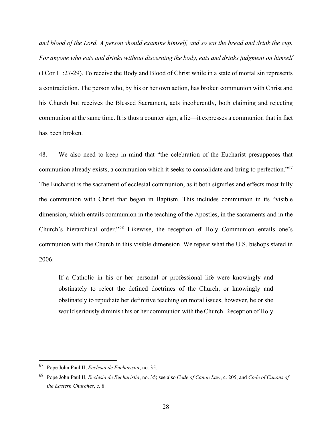*and blood of the Lord. A person should examine himself, and so eat the bread and drink the cup. For anyone who eats and drinks without discerning the body, eats and drinks judgment on himself* (I Cor 11:27-29). To receive the Body and Blood of Christ while in a state of mortal sin represents a contradiction. The person who, by his or her own action, has broken communion with Christ and his Church but receives the Blessed Sacrament, acts incoherently, both claiming and rejecting communion at the same time. It is thus a counter sign, a lie—it expresses a communion that in fact has been broken.

48. We also need to keep in mind that "the celebration of the Eucharist presupposes that communion already exists, a communion which it seeks to consolidate and bring to perfection."<sup>[67](#page-27-0)</sup> The Eucharist is the sacrament of ecclesial communion, as it both signifies and effects most fully the communion with Christ that began in Baptism. This includes communion in its "visible dimension, which entails communion in the teaching of the Apostles, in the sacraments and in the Church's hierarchical order."[68](#page-27-1) Likewise, the reception of Holy Communion entails one's communion with the Church in this visible dimension. We repeat what the U.S. bishops stated in 2006:

If a Catholic in his or her personal or professional life were knowingly and obstinately to reject the defined doctrines of the Church, or knowingly and obstinately to repudiate her definitive teaching on moral issues, however, he or she would seriously diminish his or her communion with the Church. Reception of Holy

<span id="page-27-0"></span><sup>67</sup> Pope John Paul II, *Ecclesia de Eucharistia*, no. 35.

<span id="page-27-1"></span><sup>68</sup> Pope John Paul II, *Ecclesia de Eucharistia*, no. 35; see also *Code of Canon Law*, c. 205, and *Code of Canons of the Eastern Churches*, c. 8.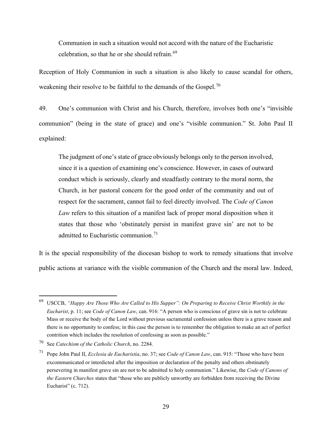Communion in such a situation would not accord with the nature of the Eucharistic celebration, so that he or she should refrain.<sup>[69](#page-28-0)</sup>

Reception of Holy Communion in such a situation is also likely to cause scandal for others, weakening their resolve to be faithful to the demands of the Gospel.<sup>[70](#page-28-1)</sup>

49. One's communion with Christ and his Church, therefore, involves both one's "invisible communion" (being in the state of grace) and one's "visible communion." St. John Paul II explained:

The judgment of one's state of grace obviously belongs only to the person involved, since it is a question of examining one's conscience. However, in cases of outward conduct which is seriously, clearly and steadfastly contrary to the moral norm, the Church, in her pastoral concern for the good order of the community and out of respect for the sacrament, cannot fail to feel directly involved. The *Code of Canon Law* refers to this situation of a manifest lack of proper moral disposition when it states that those who 'obstinately persist in manifest grave sin' are not to be admitted to Eucharistic communion.<sup>[71](#page-28-2)</sup>

It is the special responsibility of the diocesan bishop to work to remedy situations that involve public actions at variance with the visible communion of the Church and the moral law. Indeed,

<span id="page-28-0"></span><sup>69</sup> USCCB, *"Happy Are Those Who Are Called to His Supper": On Preparing to Receive Christ Worthily in the Eucharist*, p. 11; see *Code of Canon Law*, can. 916: "A person who is conscious of grave sin is not to celebrate Mass or receive the body of the Lord without previous sacramental confession unless there is a grave reason and there is no opportunity to confess; in this case the person is to remember the obligation to make an act of perfect contrition which includes the resolution of confessing as soon as possible."

<span id="page-28-1"></span><sup>70</sup> See *Catechism of the Catholic Church*, no. 2284.

<span id="page-28-2"></span><sup>71</sup> Pope John Paul II, *Ecclesia de Eucharistia*, no. 37; see *Code of Canon Law*, can. 915: "Those who have been excommunicated or interdicted after the imposition or declaration of the penalty and others obstinately persevering in manifest grave sin are not to be admitted to holy communion." Likewise, the *Code of Canons of the Eastern Churches* states that "those who are publicly unworthy are forbidden from receiving the Divine Eucharist" (c. 712).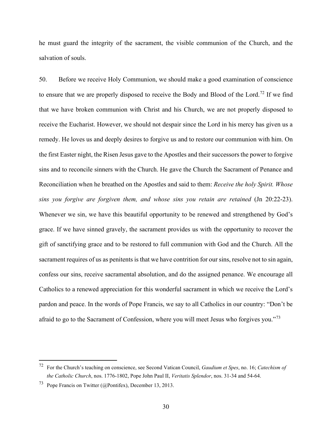he must guard the integrity of the sacrament, the visible communion of the Church, and the salvation of souls.

50. Before we receive Holy Communion, we should make a good examination of conscience to ensure that we are properly disposed to receive the Body and Blood of the Lord.<sup>[72](#page-29-0)</sup> If we find that we have broken communion with Christ and his Church, we are not properly disposed to receive the Eucharist. However, we should not despair since the Lord in his mercy has given us a remedy. He loves us and deeply desires to forgive us and to restore our communion with him. On the first Easter night, the Risen Jesus gave to the Apostles and their successors the power to forgive sins and to reconcile sinners with the Church. He gave the Church the Sacrament of Penance and Reconciliation when he breathed on the Apostles and said to them: *Receive the holy Spirit. Whose sins you forgive are forgiven them, and whose sins you retain are retained* (Jn 20:22-23). Whenever we sin, we have this beautiful opportunity to be renewed and strengthened by God's grace. If we have sinned gravely, the sacrament provides us with the opportunity to recover the gift of sanctifying grace and to be restored to full communion with God and the Church. All the sacrament requires of us as penitents is that we have contrition for our sins, resolve not to sin again, confess our sins, receive sacramental absolution, and do the assigned penance. We encourage all Catholics to a renewed appreciation for this wonderful sacrament in which we receive the Lord's pardon and peace. In the words of Pope Francis, we say to all Catholics in our country: "Don't be afraid to go to the Sacrament of Confession, where you will meet Jesus who forgives you."<sup>[73](#page-29-1)</sup>

<span id="page-29-0"></span><sup>72</sup> For the Church's teaching on conscience, see Second Vatican Council, *Gaudium et Spes*, no. 16; *Catechism of the Catholic Church*, nos. 1776-1802, Pope John Paul II, *Veritatis Splendor*, nos. 31-34 and 54-64.

<span id="page-29-1"></span><sup>73</sup> Pope Francis on Twitter (@Pontifex), December 13, 2013.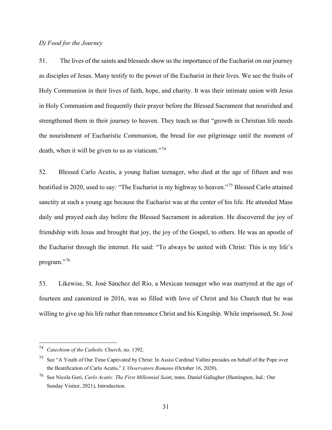# *D) Food for the Journey*

51. The lives of the saints and blesseds show us the importance of the Eucharist on our journey as disciples of Jesus. Many testify to the power of the Eucharist in their lives. We see the fruits of Holy Communion in their lives of faith, hope, and charity. It was their intimate union with Jesus in Holy Communion and frequently their prayer before the Blessed Sacrament that nourished and strengthened them in their journey to heaven. They teach us that "growth in Christian life needs the nourishment of Eucharistic Communion, the bread for our pilgrimage until the moment of death, when it will be given to us as viaticum."<sup>[74](#page-30-0)</sup>

52. Blessed Carlo Acutis, a young Italian teenager, who died at the age of fifteen and was beatified in 2020, used to say: "The Eucharist is my highway to heaven."[75](#page-30-1) Blessed Carlo attained sanctity at such a young age because the Eucharist was at the center of his life. He attended Mass daily and prayed each day before the Blessed Sacrament in adoration. He discovered the joy of friendship with Jesus and brought that joy, the joy of the Gospel, to others. He was an apostle of the Eucharist through the internet. He said: "To always be united with Christ: This is my life's program."<sup>[76](#page-30-2)</sup>

53. Likewise, St. José Sánchez del Río, a Mexican teenager who was martyred at the age of fourteen and canonized in 2016, was so filled with love of Christ and his Church that he was willing to give up his life rather than renounce Christ and his Kingship. While imprisoned, St. José

<span id="page-30-0"></span><sup>74</sup> *Catechism of the Catholic Church*, no. 1392.

<span id="page-30-1"></span><sup>&</sup>lt;sup>75</sup> See "A Youth of Our Time Captivated by Christ: In Assisi Cardinal Vallini presides on behalf of the Pope over the Beatification of Carlo Acutis," *L'Osservatore Romano* (October 16, 2020).

<span id="page-30-2"></span><sup>76</sup> See Nicola Gori, *Carlo Acutis: The First Millennial Sain*t, trans. Daniel Gallagher (Huntington, Ind.: Our Sunday Visitor, 2021), Introduction.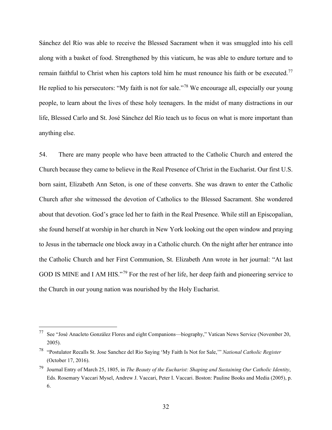Sánchez del Río was able to receive the Blessed Sacrament when it was smuggled into his cell along with a basket of food. Strengthened by this viaticum, he was able to endure torture and to remain faithful to Christ when his captors told him he must renounce his faith or be executed.<sup>[77](#page-31-0)</sup> He replied to his persecutors: "My faith is not for sale."<sup>[78](#page-31-1)</sup> We encourage all, especially our young people, to learn about the lives of these holy teenagers. In the midst of many distractions in our life, Blessed Carlo and St. José Sánchez del Río teach us to focus on what is more important than anything else.

54. There are many people who have been attracted to the Catholic Church and entered the Church because they came to believe in the Real Presence of Christ in the Eucharist. Our first U.S. born saint, Elizabeth Ann Seton, is one of these converts. She was drawn to enter the Catholic Church after she witnessed the devotion of Catholics to the Blessed Sacrament. She wondered about that devotion. God's grace led her to faith in the Real Presence. While still an Episcopalian, she found herself at worship in her church in New York looking out the open window and praying to Jesus in the tabernacle one block away in a Catholic church. On the night after her entrance into the Catholic Church and her First Communion, St. Elizabeth Ann wrote in her journal: "At last GOD IS MINE and I AM HIS."<sup>[79](#page-31-2)</sup> For the rest of her life, her deep faith and pioneering service to the Church in our young nation was nourished by the Holy Eucharist.

<span id="page-31-0"></span><sup>77</sup> See "José Anacleto González Flores and eight Companions—biography," Vatican News Service (November 20, 2005).

<span id="page-31-1"></span><sup>78</sup> "Postulator Recalls St. Jose Sanchez del Rio Saying 'My Faith Is Not for Sale,'" *National Catholic Register* (October 17, 2016).

<span id="page-31-2"></span><sup>79</sup> Journal Entry of March 25, 1805, in *The Beauty of the Eucharist: Shaping and Sustaining Our Catholic Identity*, Eds. Rosemary Vaccari Mysel, Andrew J. Vaccari, Peter I. Vaccari. Boston: Pauline Books and Media (2005), p. 6.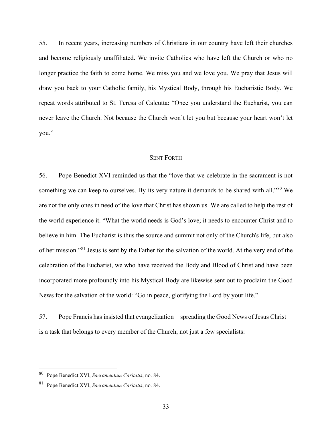55. In recent years, increasing numbers of Christians in our country have left their churches and become religiously unaffiliated. We invite Catholics who have left the Church or who no longer practice the faith to come home. We miss you and we love you. We pray that Jesus will draw you back to your Catholic family, his Mystical Body, through his Eucharistic Body. We repeat words attributed to St. Teresa of Calcutta: "Once you understand the Eucharist, you can never leave the Church. Not because the Church won't let you but because your heart won't let you."

#### SENT FORTH

56. Pope Benedict XVI reminded us that the "love that we celebrate in the sacrament is not something we can keep to ourselves. By its very nature it demands to be shared with all."<sup>[80](#page-32-0)</sup> We are not the only ones in need of the love that Christ has shown us. We are called to help the rest of the world experience it. "What the world needs is God's love; it needs to encounter Christ and to believe in him. The Eucharist is thus the source and summit not only of the Church's life, but also of her mission."[81](#page-32-1) Jesus is sent by the Father for the salvation of the world. At the very end of the celebration of the Eucharist, we who have received the Body and Blood of Christ and have been incorporated more profoundly into his Mystical Body are likewise sent out to proclaim the Good News for the salvation of the world: "Go in peace, glorifying the Lord by your life."

57. Pope Francis has insisted that evangelization—spreading the Good News of Jesus Christ is a task that belongs to every member of the Church, not just a few specialists:

<span id="page-32-0"></span><sup>80</sup> Pope Benedict XVI, *Sacramentum Caritatis*, no. 84.

<span id="page-32-1"></span><sup>81</sup> Pope Benedict XVI, *Sacramentum Caritatis*, no. 84.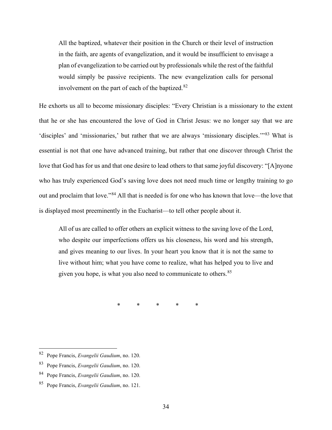All the baptized, whatever their position in the Church or their level of instruction in the faith, are agents of evangelization, and it would be insufficient to envisage a plan of evangelization to be carried out by professionals while the rest of the faithful would simply be passive recipients. The new evangelization calls for personal involvement on the part of each of the baptized. $82$ 

He exhorts us all to become missionary disciples: "Every Christian is a missionary to the extent that he or she has encountered the love of God in Christ Jesus: we no longer say that we are 'disciples' and 'missionaries,' but rather that we are always 'missionary disciples.'"[83](#page-33-1) What is essential is not that one have advanced training, but rather that one discover through Christ the love that God has for us and that one desire to lead others to that same joyful discovery: "[A]nyone who has truly experienced God's saving love does not need much time or lengthy training to go out and proclaim that love."[84](#page-33-2) All that is needed is for one who has known that love—the love that is displayed most preeminently in the Eucharist—to tell other people about it.

All of us are called to offer others an explicit witness to the saving love of the Lord, who despite our imperfections offers us his closeness, his word and his strength, and gives meaning to our lives. In your heart you know that it is not the same to live without him; what you have come to realize, what has helped you to live and given you hope, is what you also need to communicate to others.<sup>[85](#page-33-3)</sup>

\* \* \* \* \*

<span id="page-33-0"></span><sup>82</sup> Pope Francis, *Evangelii Gaudium*, no. 120.

<span id="page-33-1"></span><sup>83</sup> Pope Francis, *Evangelii Gaudium*, no. 120.

<span id="page-33-2"></span><sup>84</sup> Pope Francis, *Evangelii Gaudium*, no. 120.

<span id="page-33-3"></span><sup>85</sup> Pope Francis, *Evangelii Gaudium*, no. 121.